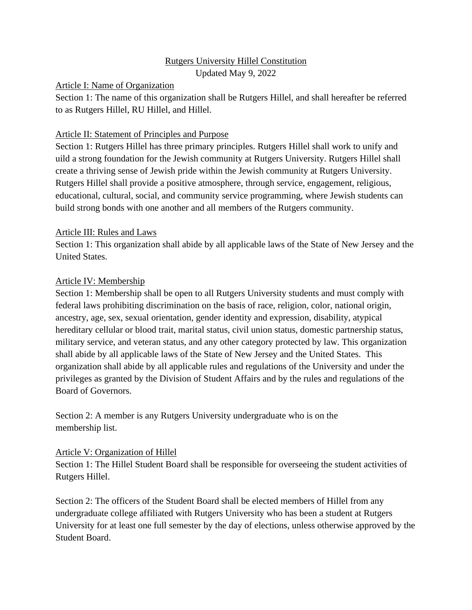# Rutgers University Hillel Constitution

Updated May 9, 2022

#### Article I: Name of Organization

Section 1: The name of this organization shall be Rutgers Hillel, and shall hereafter be referred to as Rutgers Hillel, RU Hillel, and Hillel.

### Article II: Statement of Principles and Purpose

Section 1: Rutgers Hillel has three primary principles. Rutgers Hillel shall work to unify and uild a strong foundation for the Jewish community at Rutgers University. Rutgers Hillel shall create a thriving sense of Jewish pride within the Jewish community at Rutgers University. Rutgers Hillel shall provide a positive atmosphere, through service, engagement, religious, educational, cultural, social, and community service programming, where Jewish students can build strong bonds with one another and all members of the Rutgers community.

# Article III: Rules and Laws

Section 1: This organization shall abide by all applicable laws of the State of New Jersey and the United States.

# Article IV: Membership

Section 1: Membership shall be open to all Rutgers University students and must comply with federal laws prohibiting discrimination on the basis of race, religion, color, national origin, ancestry, age, sex, sexual orientation, gender identity and expression, disability, atypical hereditary cellular or blood trait, marital status, civil union status, domestic partnership status, military service, and veteran status, and any other category protected by law. This organization shall abide by all applicable laws of the State of New Jersey and the United States. This organization shall abide by all applicable rules and regulations of the University and under the privileges as granted by the Division of Student Affairs and by the rules and regulations of the Board of Governors.

Section 2: A member is any Rutgers University undergraduate who is on the membership list.

#### Article V: Organization of Hillel

Section 1: The Hillel Student Board shall be responsible for overseeing the student activities of Rutgers Hillel.

Section 2: The officers of the Student Board shall be elected members of Hillel from any undergraduate college affiliated with Rutgers University who has been a student at Rutgers University for at least one full semester by the day of elections, unless otherwise approved by the Student Board.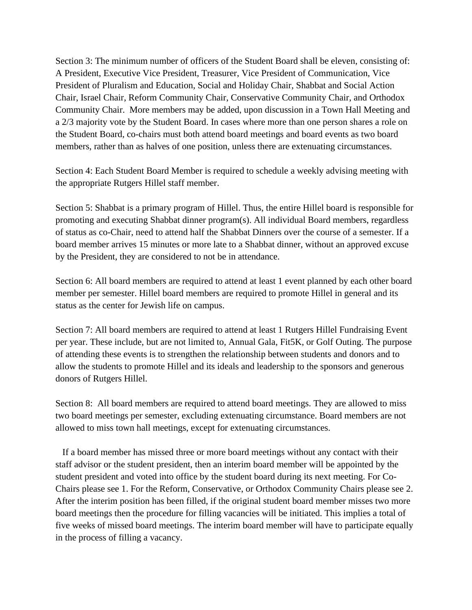Section 3: The minimum number of officers of the Student Board shall be eleven, consisting of: A President, Executive Vice President, Treasurer, Vice President of Communication, Vice President of Pluralism and Education, Social and Holiday Chair, Shabbat and Social Action Chair, Israel Chair, Reform Community Chair, Conservative Community Chair, and Orthodox Community Chair. More members may be added, upon discussion in a Town Hall Meeting and a 2/3 majority vote by the Student Board. In cases where more than one person shares a role on the Student Board, co-chairs must both attend board meetings and board events as two board members, rather than as halves of one position, unless there are extenuating circumstances.

Section 4: Each Student Board Member is required to schedule a weekly advising meeting with the appropriate Rutgers Hillel staff member.

Section 5: Shabbat is a primary program of Hillel. Thus, the entire Hillel board is responsible for promoting and executing Shabbat dinner program(s). All individual Board members, regardless of status as co-Chair, need to attend half the Shabbat Dinners over the course of a semester. If a board member arrives 15 minutes or more late to a Shabbat dinner, without an approved excuse by the President, they are considered to not be in attendance.

Section 6: All board members are required to attend at least 1 event planned by each other board member per semester. Hillel board members are required to promote Hillel in general and its status as the center for Jewish life on campus.

Section 7: All board members are required to attend at least 1 Rutgers Hillel Fundraising Event per year. These include, but are not limited to, Annual Gala, Fit5K, or Golf Outing. The purpose of attending these events is to strengthen the relationship between students and donors and to allow the students to promote Hillel and its ideals and leadership to the sponsors and generous donors of Rutgers Hillel.

Section 8: All board members are required to attend board meetings. They are allowed to miss two board meetings per semester, excluding extenuating circumstance. Board members are not allowed to miss town hall meetings, except for extenuating circumstances.

 If a board member has missed three or more board meetings without any contact with their staff advisor or the student president, then an interim board member will be appointed by the student president and voted into office by the student board during its next meeting. For Co-Chairs please see 1. For the Reform, Conservative, or Orthodox Community Chairs please see 2. After the interim position has been filled, if the original student board member misses two more board meetings then the procedure for filling vacancies will be initiated. This implies a total of five weeks of missed board meetings. The interim board member will have to participate equally in the process of filling a vacancy.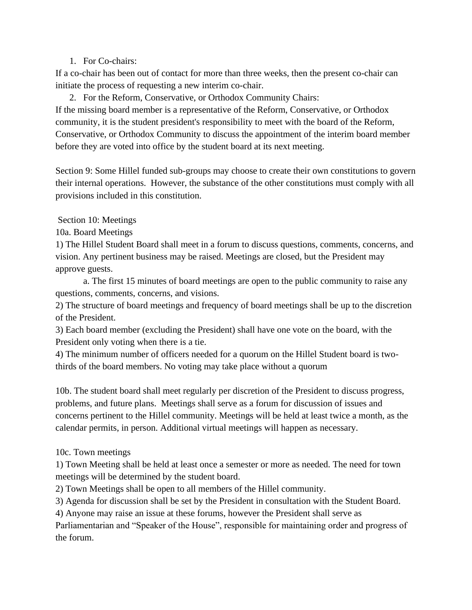#### 1. For Co-chairs:

If a co-chair has been out of contact for more than three weeks, then the present co-chair can initiate the process of requesting a new interim co-chair.

2. For the Reform, Conservative, or Orthodox Community Chairs: If the missing board member is a representative of the Reform, Conservative, or Orthodox community, it is the student president's responsibility to meet with the board of the Reform, Conservative, or Orthodox Community to discuss the appointment of the interim board member before they are voted into office by the student board at its next meeting.

Section 9: Some Hillel funded sub-groups may choose to create their own constitutions to govern their internal operations. However, the substance of the other constitutions must comply with all provisions included in this constitution.

Section 10: Meetings

10a. Board Meetings

1) The Hillel Student Board shall meet in a forum to discuss questions, comments, concerns, and vision. Any pertinent business may be raised. Meetings are closed, but the President may approve guests.

a. The first 15 minutes of board meetings are open to the public community to raise any questions, comments, concerns, and visions.

2) The structure of board meetings and frequency of board meetings shall be up to the discretion of the President.

3) Each board member (excluding the President) shall have one vote on the board, with the President only voting when there is a tie.

4) The minimum number of officers needed for a quorum on the Hillel Student board is twothirds of the board members. No voting may take place without a quorum

10b. The student board shall meet regularly per discretion of the President to discuss progress, problems, and future plans. Meetings shall serve as a forum for discussion of issues and concerns pertinent to the Hillel community. Meetings will be held at least twice a month, as the calendar permits, in person. Additional virtual meetings will happen as necessary.

10c. Town meetings

1) Town Meeting shall be held at least once a semester or more as needed. The need for town meetings will be determined by the student board.

2) Town Meetings shall be open to all members of the Hillel community.

3) Agenda for discussion shall be set by the President in consultation with the Student Board.

4) Anyone may raise an issue at these forums, however the President shall serve as

Parliamentarian and "Speaker of the House", responsible for maintaining order and progress of the forum.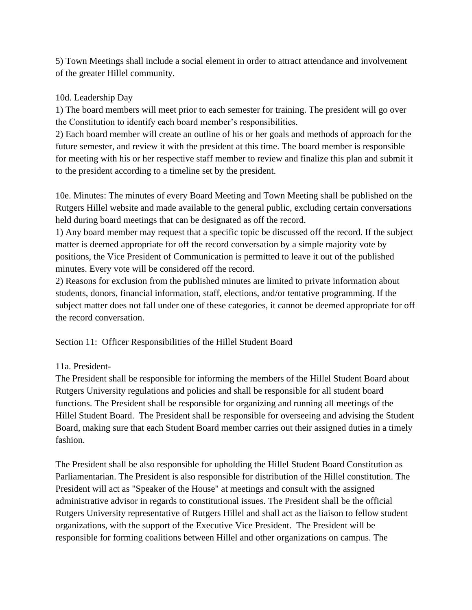5) Town Meetings shall include a social element in order to attract attendance and involvement of the greater Hillel community.

# 10d. Leadership Day

1) The board members will meet prior to each semester for training. The president will go over the Constitution to identify each board member's responsibilities.

2) Each board member will create an outline of his or her goals and methods of approach for the future semester, and review it with the president at this time. The board member is responsible for meeting with his or her respective staff member to review and finalize this plan and submit it to the president according to a timeline set by the president.

10e. Minutes: The minutes of every Board Meeting and Town Meeting shall be published on the Rutgers Hillel website and made available to the general public, excluding certain conversations held during board meetings that can be designated as off the record.

1) Any board member may request that a specific topic be discussed off the record. If the subject matter is deemed appropriate for off the record conversation by a simple majority vote by positions, the Vice President of Communication is permitted to leave it out of the published minutes. Every vote will be considered off the record.

2) Reasons for exclusion from the published minutes are limited to private information about students, donors, financial information, staff, elections, and/or tentative programming. If the subject matter does not fall under one of these categories, it cannot be deemed appropriate for off the record conversation.

Section 11: Officer Responsibilities of the Hillel Student Board

# 11a. President-

The President shall be responsible for informing the members of the Hillel Student Board about Rutgers University regulations and policies and shall be responsible for all student board functions. The President shall be responsible for organizing and running all meetings of the Hillel Student Board. The President shall be responsible for overseeing and advising the Student Board, making sure that each Student Board member carries out their assigned duties in a timely fashion.

The President shall be also responsible for upholding the Hillel Student Board Constitution as Parliamentarian. The President is also responsible for distribution of the Hillel constitution. The President will act as "Speaker of the House" at meetings and consult with the assigned administrative advisor in regards to constitutional issues. The President shall be the official Rutgers University representative of Rutgers Hillel and shall act as the liaison to fellow student organizations, with the support of the Executive Vice President. The President will be responsible for forming coalitions between Hillel and other organizations on campus. The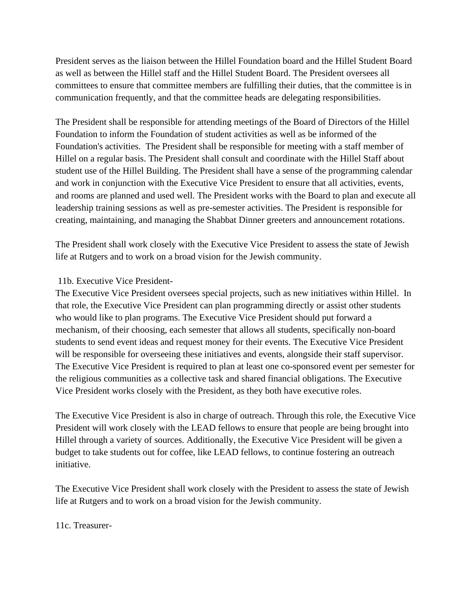President serves as the liaison between the Hillel Foundation board and the Hillel Student Board as well as between the Hillel staff and the Hillel Student Board. The President oversees all committees to ensure that committee members are fulfilling their duties, that the committee is in communication frequently, and that the committee heads are delegating responsibilities.

The President shall be responsible for attending meetings of the Board of Directors of the Hillel Foundation to inform the Foundation of student activities as well as be informed of the Foundation's activities. The President shall be responsible for meeting with a staff member of Hillel on a regular basis. The President shall consult and coordinate with the Hillel Staff about student use of the Hillel Building. The President shall have a sense of the programming calendar and work in conjunction with the Executive Vice President to ensure that all activities, events, and rooms are planned and used well. The President works with the Board to plan and execute all leadership training sessions as well as pre-semester activities. The President is responsible for creating, maintaining, and managing the Shabbat Dinner greeters and announcement rotations.

The President shall work closely with the Executive Vice President to assess the state of Jewish life at Rutgers and to work on a broad vision for the Jewish community.

#### 11b. Executive Vice President-

The Executive Vice President oversees special projects, such as new initiatives within Hillel. In that role, the Executive Vice President can plan programming directly or assist other students who would like to plan programs. The Executive Vice President should put forward a mechanism, of their choosing, each semester that allows all students, specifically non-board students to send event ideas and request money for their events. The Executive Vice President will be responsible for overseeing these initiatives and events, alongside their staff supervisor. The Executive Vice President is required to plan at least one co-sponsored event per semester for the religious communities as a collective task and shared financial obligations. The Executive Vice President works closely with the President, as they both have executive roles.

The Executive Vice President is also in charge of outreach. Through this role, the Executive Vice President will work closely with the LEAD fellows to ensure that people are being brought into Hillel through a variety of sources. Additionally, the Executive Vice President will be given a budget to take students out for coffee, like LEAD fellows, to continue fostering an outreach initiative.

The Executive Vice President shall work closely with the President to assess the state of Jewish life at Rutgers and to work on a broad vision for the Jewish community.

11c. Treasurer-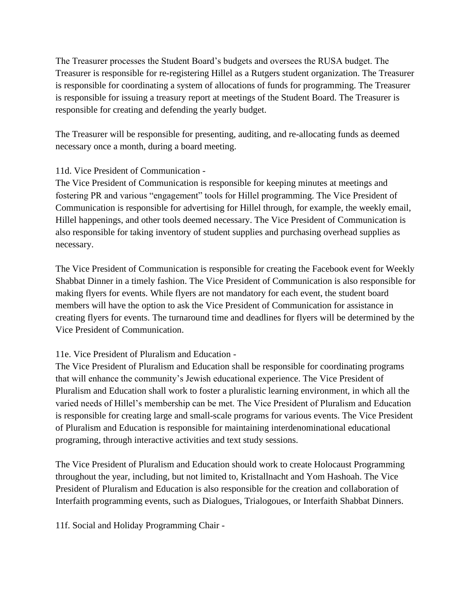The Treasurer processes the Student Board's budgets and oversees the RUSA budget. The Treasurer is responsible for re-registering Hillel as a Rutgers student organization. The Treasurer is responsible for coordinating a system of allocations of funds for programming. The Treasurer is responsible for issuing a treasury report at meetings of the Student Board. The Treasurer is responsible for creating and defending the yearly budget.

The Treasurer will be responsible for presenting, auditing, and re-allocating funds as deemed necessary once a month, during a board meeting.

11d. Vice President of Communication -

The Vice President of Communication is responsible for keeping minutes at meetings and fostering PR and various "engagement" tools for Hillel programming. The Vice President of Communication is responsible for advertising for Hillel through, for example, the weekly email, Hillel happenings, and other tools deemed necessary. The Vice President of Communication is also responsible for taking inventory of student supplies and purchasing overhead supplies as necessary.

The Vice President of Communication is responsible for creating the Facebook event for Weekly Shabbat Dinner in a timely fashion. The Vice President of Communication is also responsible for making flyers for events. While flyers are not mandatory for each event, the student board members will have the option to ask the Vice President of Communication for assistance in creating flyers for events. The turnaround time and deadlines for flyers will be determined by the Vice President of Communication.

# 11e. Vice President of Pluralism and Education -

The Vice President of Pluralism and Education shall be responsible for coordinating programs that will enhance the community's Jewish educational experience. The Vice President of Pluralism and Education shall work to foster a pluralistic learning environment, in which all the varied needs of Hillel's membership can be met. The Vice President of Pluralism and Education is responsible for creating large and small-scale programs for various events. The Vice President of Pluralism and Education is responsible for maintaining interdenominational educational programing, through interactive activities and text study sessions.

The Vice President of Pluralism and Education should work to create Holocaust Programming throughout the year, including, but not limited to, Kristallnacht and Yom Hashoah. The Vice President of Pluralism and Education is also responsible for the creation and collaboration of Interfaith programming events, such as Dialogues, Trialogoues, or Interfaith Shabbat Dinners.

11f. Social and Holiday Programming Chair -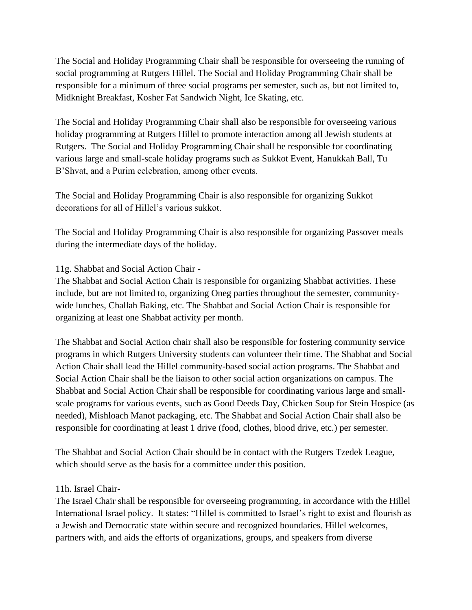The Social and Holiday Programming Chair shall be responsible for overseeing the running of social programming at Rutgers Hillel. The Social and Holiday Programming Chair shall be responsible for a minimum of three social programs per semester, such as, but not limited to, Midknight Breakfast, Kosher Fat Sandwich Night, Ice Skating, etc.

The Social and Holiday Programming Chair shall also be responsible for overseeing various holiday programming at Rutgers Hillel to promote interaction among all Jewish students at Rutgers. The Social and Holiday Programming Chair shall be responsible for coordinating various large and small-scale holiday programs such as Sukkot Event, Hanukkah Ball, Tu B'Shvat, and a Purim celebration, among other events.

The Social and Holiday Programming Chair is also responsible for organizing Sukkot decorations for all of Hillel's various sukkot.

The Social and Holiday Programming Chair is also responsible for organizing Passover meals during the intermediate days of the holiday.

11g. Shabbat and Social Action Chair -

The Shabbat and Social Action Chair is responsible for organizing Shabbat activities. These include, but are not limited to, organizing Oneg parties throughout the semester, communitywide lunches, Challah Baking, etc. The Shabbat and Social Action Chair is responsible for organizing at least one Shabbat activity per month.

The Shabbat and Social Action chair shall also be responsible for fostering community service programs in which Rutgers University students can volunteer their time. The Shabbat and Social Action Chair shall lead the Hillel community-based social action programs. The Shabbat and Social Action Chair shall be the liaison to other social action organizations on campus. The Shabbat and Social Action Chair shall be responsible for coordinating various large and smallscale programs for various events, such as Good Deeds Day, Chicken Soup for Stein Hospice (as needed), Mishloach Manot packaging, etc. The Shabbat and Social Action Chair shall also be responsible for coordinating at least 1 drive (food, clothes, blood drive, etc.) per semester.

The Shabbat and Social Action Chair should be in contact with the Rutgers Tzedek League, which should serve as the basis for a committee under this position.

#### 11h. Israel Chair-

The Israel Chair shall be responsible for overseeing programming, in accordance with the Hillel International Israel policy. It states: "Hillel is committed to Israel's right to exist and flourish as a Jewish and Democratic state within secure and recognized boundaries. Hillel welcomes, partners with, and aids the efforts of organizations, groups, and speakers from diverse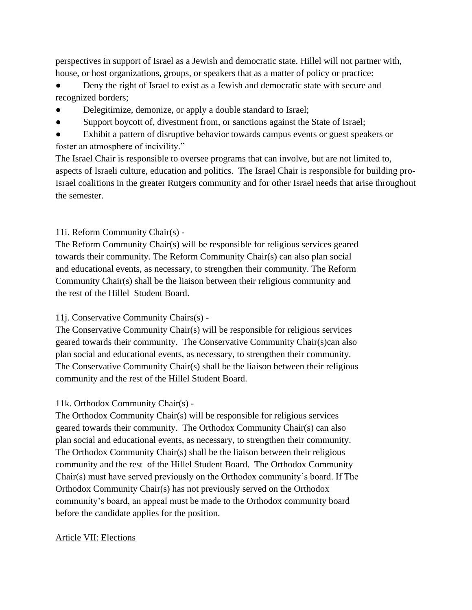perspectives in support of Israel as a Jewish and democratic state. Hillel will not partner with, house, or host organizations, groups, or speakers that as a matter of policy or practice:

Deny the right of Israel to exist as a Jewish and democratic state with secure and recognized borders;

- Delegitimize, demonize, or apply a double standard to Israel;
- Support boycott of, divestment from, or sanctions against the State of Israel;

● Exhibit a pattern of disruptive behavior towards campus events or guest speakers or foster an atmosphere of incivility."

The Israel Chair is responsible to oversee programs that can involve, but are not limited to, aspects of Israeli culture, education and politics. The Israel Chair is responsible for building pro-Israel coalitions in the greater Rutgers community and for other Israel needs that arise throughout the semester.

# 11i. Reform Community Chair(s) -

The Reform Community Chair(s) will be responsible for religious services geared towards their community. The Reform Community Chair(s) can also plan social and educational events, as necessary, to strengthen their community. The Reform Community Chair(s) shall be the liaison between their religious community and the rest of the Hillel Student Board.

# 11j. Conservative Community Chairs(s) -

The Conservative Community Chair(s) will be responsible for religious services geared towards their community. The Conservative Community Chair(s)can also plan social and educational events, as necessary, to strengthen their community. The Conservative Community Chair(s) shall be the liaison between their religious community and the rest of the Hillel Student Board.

# 11k. Orthodox Community Chair(s) -

The Orthodox Community Chair(s) will be responsible for religious services geared towards their community. The Orthodox Community Chair(s) can also plan social and educational events, as necessary, to strengthen their community. The Orthodox Community Chair(s) shall be the liaison between their religious community and the rest of the Hillel Student Board. The Orthodox Community Chair(s) must have served previously on the Orthodox community's board. If The Orthodox Community Chair(s) has not previously served on the Orthodox community's board, an appeal must be made to the Orthodox community board before the candidate applies for the position.

#### Article VII: Elections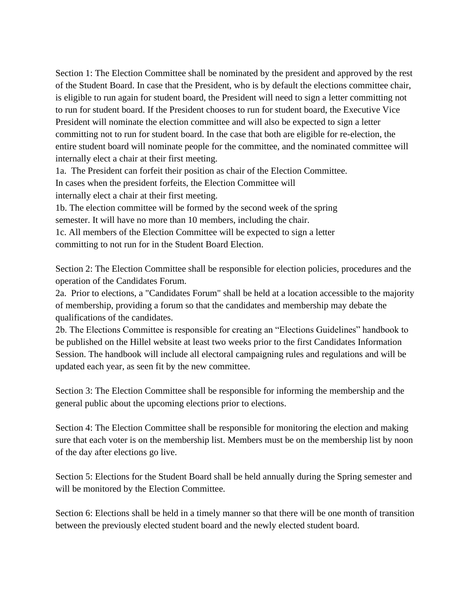Section 1: The Election Committee shall be nominated by the president and approved by the rest of the Student Board. In case that the President, who is by default the elections committee chair, is eligible to run again for student board, the President will need to sign a letter committing not to run for student board. If the President chooses to run for student board, the Executive Vice President will nominate the election committee and will also be expected to sign a letter committing not to run for student board. In the case that both are eligible for re-election, the entire student board will nominate people for the committee, and the nominated committee will internally elect a chair at their first meeting.

1a. The President can forfeit their position as chair of the Election Committee. In cases when the president forfeits, the Election Committee will internally elect a chair at their first meeting.

1b. The election committee will be formed by the second week of the spring semester. It will have no more than 10 members, including the chair. 1c. All members of the Election Committee will be expected to sign a letter committing to not run for in the Student Board Election.

Section 2: The Election Committee shall be responsible for election policies, procedures and the operation of the Candidates Forum.

2a. Prior to elections, a "Candidates Forum" shall be held at a location accessible to the majority of membership, providing a forum so that the candidates and membership may debate the qualifications of the candidates.

2b. The Elections Committee is responsible for creating an "Elections Guidelines" handbook to be published on the Hillel website at least two weeks prior to the first Candidates Information Session. The handbook will include all electoral campaigning rules and regulations and will be updated each year, as seen fit by the new committee.

Section 3: The Election Committee shall be responsible for informing the membership and the general public about the upcoming elections prior to elections.

Section 4: The Election Committee shall be responsible for monitoring the election and making sure that each voter is on the membership list. Members must be on the membership list by noon of the day after elections go live.

Section 5: Elections for the Student Board shall be held annually during the Spring semester and will be monitored by the Election Committee.

Section 6: Elections shall be held in a timely manner so that there will be one month of transition between the previously elected student board and the newly elected student board.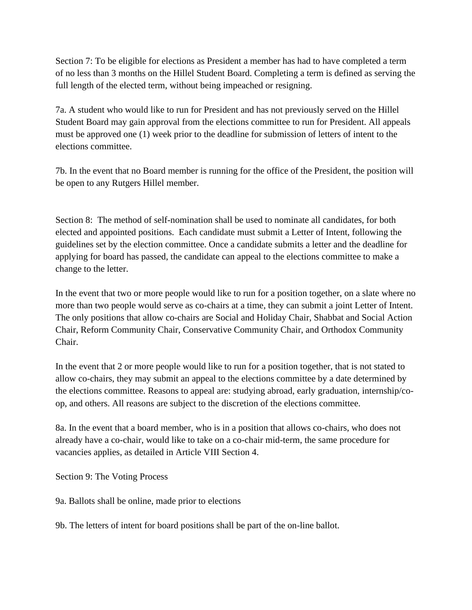Section 7: To be eligible for elections as President a member has had to have completed a term of no less than 3 months on the Hillel Student Board. Completing a term is defined as serving the full length of the elected term, without being impeached or resigning.

7a. A student who would like to run for President and has not previously served on the Hillel Student Board may gain approval from the elections committee to run for President. All appeals must be approved one (1) week prior to the deadline for submission of letters of intent to the elections committee.

7b. In the event that no Board member is running for the office of the President, the position will be open to any Rutgers Hillel member.

Section 8: The method of self-nomination shall be used to nominate all candidates, for both elected and appointed positions. Each candidate must submit a Letter of Intent, following the guidelines set by the election committee. Once a candidate submits a letter and the deadline for applying for board has passed, the candidate can appeal to the elections committee to make a change to the letter.

In the event that two or more people would like to run for a position together, on a slate where no more than two people would serve as co-chairs at a time, they can submit a joint Letter of Intent. The only positions that allow co-chairs are Social and Holiday Chair, Shabbat and Social Action Chair, Reform Community Chair, Conservative Community Chair, and Orthodox Community Chair.

In the event that 2 or more people would like to run for a position together, that is not stated to allow co-chairs, they may submit an appeal to the elections committee by a date determined by the elections committee. Reasons to appeal are: studying abroad, early graduation, internship/coop, and others. All reasons are subject to the discretion of the elections committee.

8a. In the event that a board member, who is in a position that allows co-chairs, who does not already have a co-chair, would like to take on a co-chair mid-term, the same procedure for vacancies applies, as detailed in Article VIII Section 4.

Section 9: The Voting Process

9a. Ballots shall be online, made prior to elections

9b. The letters of intent for board positions shall be part of the on-line ballot.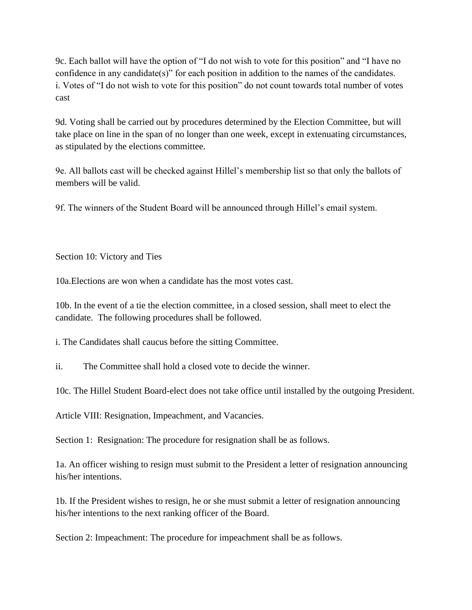9c. Each ballot will have the option of "I do not wish to vote for this position" and "I have no confidence in any candidate(s)" for each position in addition to the names of the candidates. i. Votes of "I do not wish to vote for this position" do not count towards total number of votes cast

9d. Voting shall be carried out by procedures determined by the Election Committee, but will take place on line in the span of no longer than one week, except in extenuating circumstances, as stipulated by the elections committee.

9e. All ballots cast will be checked against Hillel's membership list so that only the ballots of members will be valid.

9f. The winners of the Student Board will be announced through Hillel's email system.

Section 10: Victory and Ties

10a.Elections are won when a candidate has the most votes cast.

10b. In the event of a tie the election committee, in a closed session, shall meet to elect the candidate. The following procedures shall be followed.

i. The Candidates shall caucus before the sitting Committee.

ii. The Committee shall hold a closed vote to decide the winner.

10c. The Hillel Student Board-elect does not take office until installed by the outgoing President.

Article VIII: Resignation, Impeachment, and Vacancies.

Section 1: Resignation: The procedure for resignation shall be as follows.

1a. An officer wishing to resign must submit to the President a letter of resignation announcing his/her intentions.

1b. If the President wishes to resign, he or she must submit a letter of resignation announcing his/her intentions to the next ranking officer of the Board.

Section 2: Impeachment: The procedure for impeachment shall be as follows.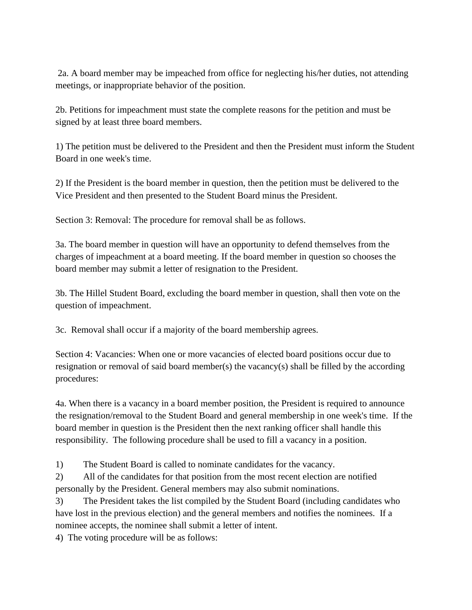2a. A board member may be impeached from office for neglecting his/her duties, not attending meetings, or inappropriate behavior of the position.

2b. Petitions for impeachment must state the complete reasons for the petition and must be signed by at least three board members.

1) The petition must be delivered to the President and then the President must inform the Student Board in one week's time.

2) If the President is the board member in question, then the petition must be delivered to the Vice President and then presented to the Student Board minus the President.

Section 3: Removal: The procedure for removal shall be as follows.

3a. The board member in question will have an opportunity to defend themselves from the charges of impeachment at a board meeting. If the board member in question so chooses the board member may submit a letter of resignation to the President.

3b. The Hillel Student Board, excluding the board member in question, shall then vote on the question of impeachment.

3c. Removal shall occur if a majority of the board membership agrees.

Section 4: Vacancies: When one or more vacancies of elected board positions occur due to resignation or removal of said board member(s) the vacancy(s) shall be filled by the according procedures:

4a. When there is a vacancy in a board member position, the President is required to announce the resignation/removal to the Student Board and general membership in one week's time. If the board member in question is the President then the next ranking officer shall handle this responsibility. The following procedure shall be used to fill a vacancy in a position.

1) The Student Board is called to nominate candidates for the vacancy.

2) All of the candidates for that position from the most recent election are notified personally by the President. General members may also submit nominations.

3) The President takes the list compiled by the Student Board (including candidates who have lost in the previous election) and the general members and notifies the nominees. If a nominee accepts, the nominee shall submit a letter of intent.

4) The voting procedure will be as follows: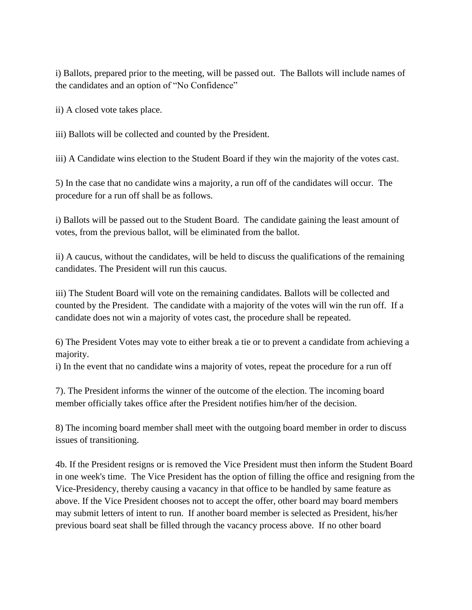i) Ballots, prepared prior to the meeting, will be passed out. The Ballots will include names of the candidates and an option of "No Confidence"

ii) A closed vote takes place.

iii) Ballots will be collected and counted by the President.

iii) A Candidate wins election to the Student Board if they win the majority of the votes cast.

5) In the case that no candidate wins a majority, a run off of the candidates will occur. The procedure for a run off shall be as follows.

i) Ballots will be passed out to the Student Board. The candidate gaining the least amount of votes, from the previous ballot, will be eliminated from the ballot.

ii) A caucus, without the candidates, will be held to discuss the qualifications of the remaining candidates. The President will run this caucus.

iii) The Student Board will vote on the remaining candidates. Ballots will be collected and counted by the President. The candidate with a majority of the votes will win the run off. If a candidate does not win a majority of votes cast, the procedure shall be repeated.

6) The President Votes may vote to either break a tie or to prevent a candidate from achieving a majority.

i) In the event that no candidate wins a majority of votes, repeat the procedure for a run off

7). The President informs the winner of the outcome of the election. The incoming board member officially takes office after the President notifies him/her of the decision.

8) The incoming board member shall meet with the outgoing board member in order to discuss issues of transitioning.

4b. If the President resigns or is removed the Vice President must then inform the Student Board in one week's time. The Vice President has the option of filling the office and resigning from the Vice-Presidency, thereby causing a vacancy in that office to be handled by same feature as above. If the Vice President chooses not to accept the offer, other board may board members may submit letters of intent to run. If another board member is selected as President, his/her previous board seat shall be filled through the vacancy process above. If no other board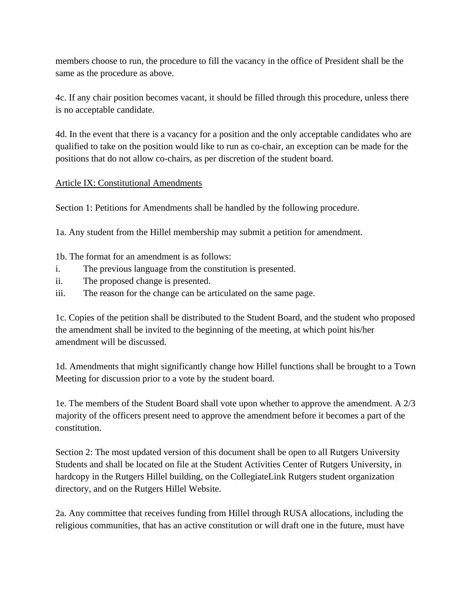members choose to run, the procedure to fill the vacancy in the office of President shall be the same as the procedure as above.

4c. If any chair position becomes vacant, it should be filled through this procedure, unless there is no acceptable candidate.

4d. In the event that there is a vacancy for a position and the only acceptable candidates who are qualified to take on the position would like to run as co-chair, an exception can be made for the positions that do not allow co-chairs, as per discretion of the student board.

# Article IX: Constitutional Amendments

Section 1: Petitions for Amendments shall be handled by the following procedure.

1a. Any student from the Hillel membership may submit a petition for amendment.

1b. The format for an amendment is as follows:

- i. The previous language from the constitution is presented.
- ii. The proposed change is presented.
- iii. The reason for the change can be articulated on the same page.

1c. Copies of the petition shall be distributed to the Student Board, and the student who proposed the amendment shall be invited to the beginning of the meeting, at which point his/her amendment will be discussed.

1d. Amendments that might significantly change how Hillel functions shall be brought to a Town Meeting for discussion prior to a vote by the student board.

1e. The members of the Student Board shall vote upon whether to approve the amendment. A 2/3 majority of the officers present need to approve the amendment before it becomes a part of the constitution.

Section 2: The most updated version of this document shall be open to all Rutgers University Students and shall be located on file at the Student Activities Center of Rutgers University, in hardcopy in the Rutgers Hillel building, on the CollegiateLink Rutgers student organization directory, and on the Rutgers Hillel Website.

2a. Any committee that receives funding from Hillel through RUSA allocations, including the religious communities, that has an active constitution or will draft one in the future, must have